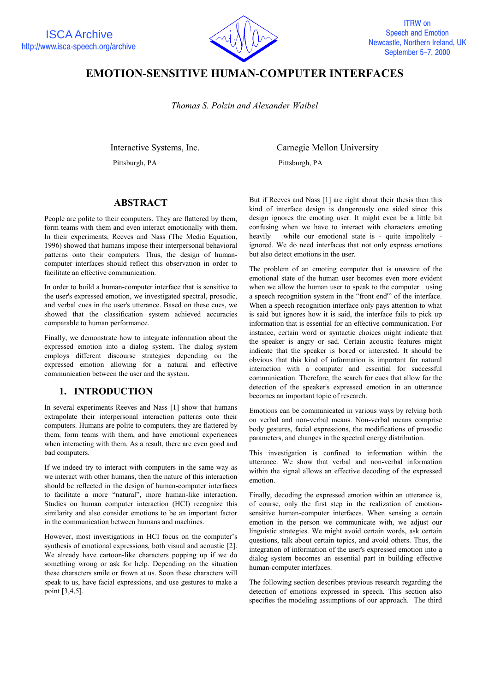

# **EMOTION-SENSITIVE HUMAN-COMPUTER INTERFACES**

*Thomas S. Polzin and Alexander Waibel*

Pittsburgh, PA Pittsburgh, PA

Interactive Systems, Inc. Carnegie Mellon University

### **ABSTRACT**

People are polite to their computers. They are flattered by them, form teams with them and even interact emotionally with them. In their experiments, Reeves and Nass (The Media Equation, 1996) showed that humans impose their interpersonal behavioral patterns onto their computers. Thus, the design of humancomputer interfaces should reflect this observation in order to facilitate an effective communication.

In order to build a human-computer interface that is sensitive to the user's expressed emotion, we investigated spectral, prosodic, and verbal cues in the user's utterance. Based on these cues, we showed that the classification system achieved accuracies comparable to human performance.

Finally, we demonstrate how to integrate information about the expressed emotion into a dialog system. The dialog system employs different discourse strategies depending on the expressed emotion allowing for a natural and effective communication between the user and the system.

# **1. INTRODUCTION**

In several experiments Reeves and Nass [1] show that humans extrapolate their interpersonal interaction patterns onto their computers. Humans are polite to computers, they are flattered by them, form teams with them, and have emotional experiences when interacting with them. As a result, there are even good and bad computers.

If we indeed try to interact with computers in the same way as we interact with other humans, then the nature of this interaction should be reflected in the design of human-computer interfaces to facilitate a more "natural", more human-like interaction. Studies on human computer interaction (HCI) recognize this similarity and also consider emotions to be an important factor in the communication between humans and machines.

However, most investigations in HCI focus on the computer's synthesis of emotional expressions, both visual and acoustic [2]. We already have cartoon-like characters popping up if we do something wrong or ask for help. Depending on the situation these characters smile or frown at us. Soon these characters will speak to us, have facial expressions, and use gestures to make a point [3,4,5].

But if Reeves and Nass [1] are right about their thesis then this kind of interface design is dangerously one sided since this design ignores the emoting user. It might even be a little bit confusing when we have to interact with characters emoting heavily while our emotional state is - quite impolitely ignored. We do need interfaces that not only express emotions but also detect emotions in the user.

The problem of an emoting computer that is unaware of the emotional state of the human user becomes even more evident when we allow the human user to speak to the computer using a speech recognition system in the "front end'" of the interface. When a speech recognition interface only pays attention to what is said but ignores how it is said, the interface fails to pick up information that is essential for an effective communication. For instance, certain word or syntactic choices might indicate that the speaker is angry or sad. Certain acoustic features might indicate that the speaker is bored or interested. It should be obvious that this kind of information is important for natural interaction with a computer and essential for successful communication. Therefore, the search for cues that allow for the detection of the speaker's expressed emotion in an utterance becomes an important topic of research.

Emotions can be communicated in various ways by relying both on verbal and non-verbal means. Non-verbal means comprise body gestures, facial expressions, the modifications of prosodic parameters, and changes in the spectral energy distribution.

This investigation is confined to information within the utterance. We show that verbal and non-verbal information within the signal allows an effective decoding of the expressed emotion.

Finally, decoding the expressed emotion within an utterance is, of course, only the first step in the realization of emotionsensitive human-computer interfaces. When sensing a certain emotion in the person we communicate with, we adjust our linguistic strategies. We might avoid certain words, ask certain questions, talk about certain topics, and avoid others. Thus, the integration of information of the user's expressed emotion into a dialog system becomes an essential part in building effective human-computer interfaces.

The following section describes previous research regarding the detection of emotions expressed in speech. This section also specifies the modeling assumptions of our approach. The third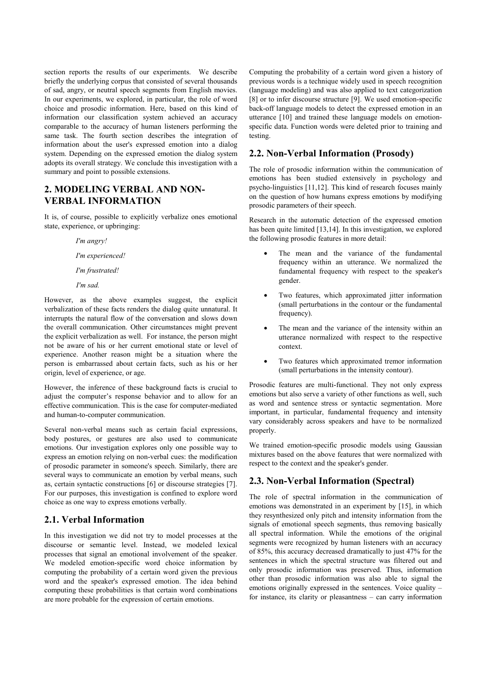section reports the results of our experiments. We describe briefly the underlying corpus that consisted of several thousands of sad, angry, or neutral speech segments from English movies. In our experiments, we explored, in particular, the role of word choice and prosodic information. Here, based on this kind of information our classification system achieved an accuracy comparable to the accuracy of human listeners performing the same task. The fourth section describes the integration of information about the user's expressed emotion into a dialog system. Depending on the expressed emotion the dialog system adopts its overall strategy. We conclude this investigation with a summary and point to possible extensions.

### **2. MODELING VERBAL AND NON-VERBAL INFORMATION**

It is, of course, possible to explicitly verbalize ones emotional state, experience, or upbringing:

 *I'm angry!*

 *I'm experienced!*

 *I'm frustrated!*

 *I'm sad.*

However, as the above examples suggest, the explicit verbalization of these facts renders the dialog quite unnatural. It interrupts the natural flow of the conversation and slows down the overall communication. Other circumstances might prevent the explicit verbalization as well. For instance, the person might not be aware of his or her current emotional state or level of experience. Another reason might be a situation where the person is embarrassed about certain facts, such as his or her origin, level of experience, or age.

However, the inference of these background facts is crucial to adjust the computer's response behavior and to allow for an effective communication. This is the case for computer-mediated and human-to-computer communication.

Several non-verbal means such as certain facial expressions, body postures, or gestures are also used to communicate emotions. Our investigation explores only one possible way to express an emotion relying on non-verbal cues: the modification of prosodic parameter in someone's speech. Similarly, there are several ways to communicate an emotion by verbal means, such as, certain syntactic constructions [6] or discourse strategies [7]. For our purposes, this investigation is confined to explore word choice as one way to express emotions verbally.

# **2.1. Verbal Information**

In this investigation we did not try to model processes at the discourse or semantic level. Instead, we modeled lexical processes that signal an emotional involvement of the speaker. We modeled emotion-specific word choice information by computing the probability of a certain word given the previous word and the speaker's expressed emotion. The idea behind computing these probabilities is that certain word combinations are more probable for the expression of certain emotions.

Computing the probability of a certain word given a history of previous words is a technique widely used in speech recognition (language modeling) and was also applied to text categorization [8] or to infer discourse structure [9]. We used emotion-specific back-off language models to detect the expressed emotion in an utterance [10] and trained these language models on emotionspecific data. Function words were deleted prior to training and testing.

# **2.2. Non-Verbal Information (Prosody)**

The role of prosodic information within the communication of emotions has been studied extensively in psychology and psycho-linguistics [11,12]. This kind of research focuses mainly on the question of how humans express emotions by modifying prosodic parameters of their speech.

Research in the automatic detection of the expressed emotion has been quite limited [13,14]. In this investigation, we explored the following prosodic features in more detail:

- The mean and the variance of the fundamental frequency within an utterance. We normalized the fundamental frequency with respect to the speaker's gender.
- Two features, which approximated jitter information (small perturbations in the contour or the fundamental frequency).
- The mean and the variance of the intensity within an utterance normalized with respect to the respective context.
- Two features which approximated tremor information (small perturbations in the intensity contour).

Prosodic features are multi-functional. They not only express emotions but also serve a variety of other functions as well, such as word and sentence stress or syntactic segmentation. More important, in particular, fundamental frequency and intensity vary considerably across speakers and have to be normalized properly.

We trained emotion-specific prosodic models using Gaussian mixtures based on the above features that were normalized with respect to the context and the speaker's gender.

# **2.3. Non-Verbal Information (Spectral)**

The role of spectral information in the communication of emotions was demonstrated in an experiment by [15], in which they resynthesized only pitch and intensity information from the signals of emotional speech segments, thus removing basically all spectral information. While the emotions of the original segments were recognized by human listeners with an accuracy of 85%, this accuracy decreased dramatically to just 47% for the sentences in which the spectral structure was filtered out and only prosodic information was preserved. Thus, information other than prosodic information was also able to signal the emotions originally expressed in the sentences. Voice quality – for instance, its clarity or pleasantness – can carry information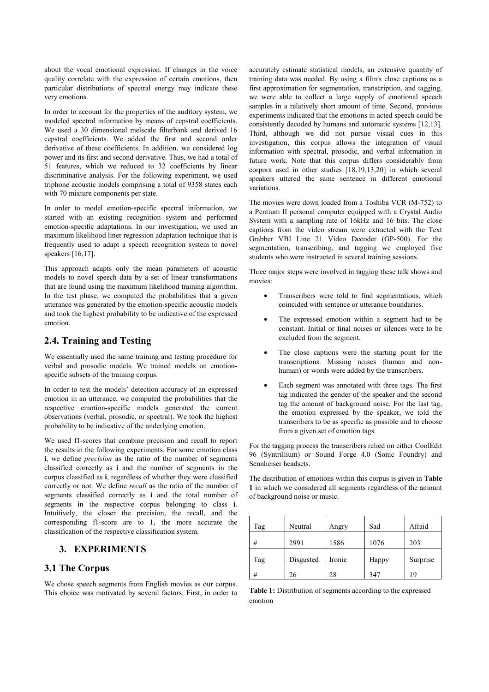about the vocal emotional expression. If changes in the voice quality correlate with the expression of certain emotions, then particular distributions of spectral energy may indicate these very emotions.

In order to account for the properties of the auditory system, we modeled spectral information by means of cepstral coefficients. We used a 30 dimensional melscale filterbank and derived 16 cepstral coefficients. We added the first and second order derivative of these coefficients. In addition, we considered log power and its first and second derivative. Thus, we had a total of 51 features, which we reduced to 32 coefficients by linear discriminative analysis. For the following experiment, we used triphone acoustic models comprising a total of 9358 states each with 70 mixture components per state.

In order to model emotion-specific spectral information, we started with an existing recognition system and performed emotion-specific adaptations. In our investigation, we used an maximum likelihood liner regression adaptation technique that is frequently used to adapt a speech recognition system to novel speakers [16,17].

This approach adapts only the mean parameters of acoustic models to novel speech data by a set of linear transformations that are found using the maximum likelihood training algorithm. In the test phase, we computed the probabilities that a given utterance was generated by the emotion-specific acoustic models and took the highest probability to be indicative of the expressed emotion.

# **2.4. Training and Testing**

We essentially used the same training and testing procedure for verbal and prosodic models. We trained models on emotionspecific subsets of the training corpus.

In order to test the models' detection accuracy of an expressed emotion in an utterance, we computed the probabilities that the respective emotion-specific models generated the current observations (verbal, prosodic, or spectral). We took the highest probability to be indicative of the underlying emotion.

We used f1-scores that combine precision and recall to report the results in the following experiments. For some emotion class **i**, we define *precision* as the ratio of the number of segments classified correctly as **i** and the number of segments in the corpus classified as **i**, regardless of whether they were classified correctly or not. We define *recall* as the ratio of the number of segments classified correctly as **i** and the total number of segments in the respective corpus belonging to class **i**. Intuitively, the closer the precision, the recall, and the corresponding f1-score are to 1, the more accurate the classification of the respective classification system.

### **3. EXPERIMENTS**

### **3.1 The Corpus**

We chose speech segments from English movies as our corpus. This choice was motivated by several factors. First, in order to accurately estimate statistical models, an extensive quantity of training data was needed. By using a film's close captions as a first approximation for segmentation, transcription, and tagging, we were able to collect a large supply of emotional speech samples in a relatively short amount of time. Second, previous experiments indicated that the emotions in acted speech could be consistently decoded by humans and automatic systems [12,13]. Third, although we did not pursue visual cues in this investigation, this corpus allows the integration of visual information with spectral, prosodic, and verbal information in future work. Note that this corpus differs considerably from corpora used in other studies [18,19,13,20] in which several speakers uttered the same sentence in different emotional variations.

The movies were down loaded from a Toshiba VCR (M-752) to a Pentium II personal computer equipped with a Crystal Audio System with a sampling rate of 16kHz and 16 bits. The close captions from the video stream were extracted with the Text Grabber VBI Line 21 Video Decoder (GP-500). For the segmentation, transcribing, and tagging we employed five students who were instructed in several training sessions.

Three major steps were involved in tagging these talk shows and movies:

- Transcribers were told to find segmentations, which coincided with sentence or utterance boundaries.
- The expressed emotion within a segment had to be constant. Initial or final noises or silences were to be excluded from the segment.
- The close captions were the starting point for the transcriptions. Missing noises (human and nonhuman) or words were added by the transcribers.
- Each segment was annotated with three tags. The first tag indicated the gender of the speaker and the second tag the amount of background noise. For the last tag, the emotion expressed by the speaker, we told the transcribers to be as specific as possible and to choose from a given set of emotion tags.

For the tagging process the transcribers relied on either CoolEdit 96 (Syntrillium) or Sound Forge 4.0 (Sonic Foundry) and Sennheiser headsets.

The distribution of emotions within this corpus is given in **Table 1** in which we considered all segments regardless of the amount of background noise or music.

| Tag | Neutral   | Angry  | Sad   | Afraid   |
|-----|-----------|--------|-------|----------|
| #   | 2991      | 1586   | 1076  | 203      |
| Tag | Disgusted | Ironic | Happy | Surprise |
| #   | 26        | 28     | 347   | 19       |

**Table 1:** Distribution of segments according to the expressed emotion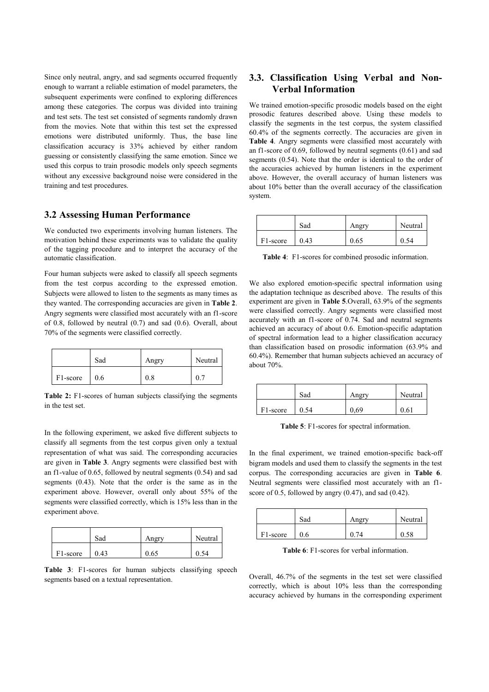Since only neutral, angry, and sad segments occurred frequently enough to warrant a reliable estimation of model parameters, the subsequent experiments were confined to exploring differences among these categories. The corpus was divided into training and test sets. The test set consisted of segments randomly drawn from the movies. Note that within this test set the expressed emotions were distributed uniformly. Thus, the base line classification accuracy is 33% achieved by either random guessing or consistently classifying the same emotion. Since we used this corpus to train prosodic models only speech segments without any excessive background noise were considered in the training and test procedures.

### **3.2 Assessing Human Performance**

We conducted two experiments involving human listeners. The motivation behind these experiments was to validate the quality of the tagging procedure and to interpret the accuracy of the automatic classification.

Four human subjects were asked to classify all speech segments from the test corpus according to the expressed emotion. Subjects were allowed to listen to the segments as many times as they wanted. The corresponding accuracies are given in **Table 2**. Angry segments were classified most accurately with an f1-score of 0.8, followed by neutral (0.7) and sad (0.6). Overall, about 70% of the segments were classified correctly.

|                       | Sad | Angry | Neutral |
|-----------------------|-----|-------|---------|
| F <sub>1</sub> -score | 0.6 | 0.8   |         |

**Table 2:** F1-scores of human subjects classifying the segments in the test set.

In the following experiment, we asked five different subjects to classify all segments from the test corpus given only a textual representation of what was said. The corresponding accuracies are given in **Table 3**. Angry segments were classified best with an f1-value of 0.65, followed by neutral segments (0.54) and sad segments (0.43). Note that the order is the same as in the experiment above. However, overall only about 55% of the segments were classified correctly, which is 15% less than in the experiment above.

|                       | Sad  | Angry | Neutral |
|-----------------------|------|-------|---------|
| F <sub>1</sub> -score | 0.43 | 0.65  | 0.54    |

**Table 3**: F1-scores for human subjects classifying speech segments based on a textual representation.

# **3.3. Classification Using Verbal and Non-Verbal Information**

We trained emotion-specific prosodic models based on the eight prosodic features described above. Using these models to classify the segments in the test corpus, the system classified 60.4% of the segments correctly. The accuracies are given in **Table 4**. Angry segments were classified most accurately with an f1-score of 0.69, followed by neutral segments (0.61) and sad segments (0.54). Note that the order is identical to the order of the accuracies achieved by human listeners in the experiment above. However, the overall accuracy of human listeners was about 10% better than the overall accuracy of the classification system.

|                       | Sad  | Angry | Neutral |
|-----------------------|------|-------|---------|
| F <sub>1</sub> -score | 0.43 | 0.65  |         |

**Table 4**: F1-scores for combined prosodic information.

We also explored emotion-specific spectral information using the adaptation technique as described above. The results of this experiment are given in **Table 5**.Overall, 63.9% of the segments were classified correctly. Angry segments were classified most accurately with an f1-score of 0.74. Sad and neutral segments achieved an accuracy of about 0.6. Emotion-specific adaptation of spectral information lead to a higher classification accuracy than classification based on prosodic information (63.9% and 60.4%). Remember that human subjects achieved an accuracy of about 70%.

|                       | Sad  | Angry | Neutral |
|-----------------------|------|-------|---------|
| F <sub>1</sub> -score | 0.54 | 0.69  | 0.61    |

**Table 5**: F1-scores for spectral information.

In the final experiment, we trained emotion-specific back-off bigram models and used them to classify the segments in the test corpus. The corresponding accuracies are given in **Table 6**. Neutral segments were classified most accurately with an f1 score of 0.5, followed by angry (0.47), and sad (0.42).

|                       | Sad | Angry | Neutral |
|-----------------------|-----|-------|---------|
| F <sub>1</sub> -score | 0.6 | 0.74  | 0.58    |

**Table 6**: F1-scores for verbal information.

Overall, 46.7% of the segments in the test set were classified correctly, which is about 10% less than the corresponding accuracy achieved by humans in the corresponding experiment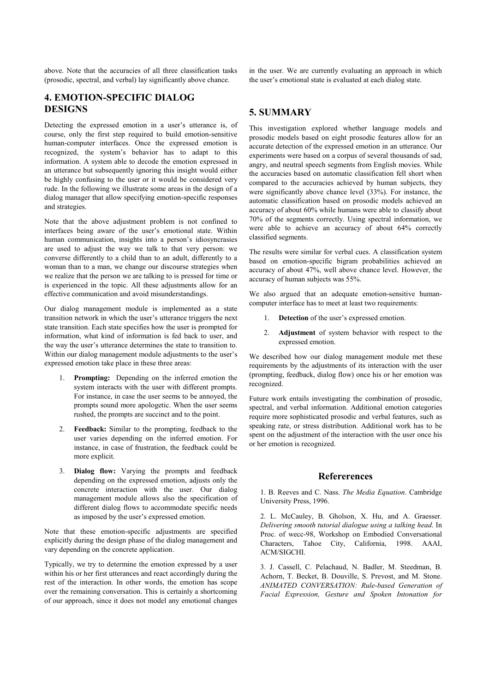above. Note that the accuracies of all three classification tasks (prosodic, spectral, and verbal) lay significantly above chance.

**4. EMOTION-SPECIFIC DIALOG DESIGNS**

Detecting the expressed emotion in a user's utterance is, of course, only the first step required to build emotion-sensitive human-computer interfaces. Once the expressed emotion is recognized, the system's behavior has to adapt to this information. A system able to decode the emotion expressed in an utterance but subsequently ignoring this insight would either be highly confusing to the user or it would be considered very rude. In the following we illustrate some areas in the design of a dialog manager that allow specifying emotion-specific responses and strategies.

Note that the above adjustment problem is not confined to interfaces being aware of the user's emotional state. Within human communication, insights into a person's idiosyncrasies are used to adjust the way we talk to that very person: we converse differently to a child than to an adult, differently to a woman than to a man, we change our discourse strategies when we realize that the person we are talking to is pressed for time or is experienced in the topic. All these adjustments allow for an effective communication and avoid misunderstandings.

Our dialog management module is implemented as a state transition network in which the user's utterance triggers the next state transition. Each state specifies how the user is prompted for information, what kind of information is fed back to user, and the way the user's utterance determines the state to transition to. Within our dialog management module adjustments to the user's expressed emotion take place in these three areas:

- **Prompting:** Depending on the inferred emotion the system interacts with the user with different prompts. For instance, in case the user seems to be annoyed, the prompts sound more apologetic. When the user seems rushed, the prompts are succinct and to the point.
- 2. **Feedback:** Similar to the prompting, feedback to the user varies depending on the inferred emotion. For instance, in case of frustration, the feedback could be more explicit.
- 3. **Dialog flow:** Varying the prompts and feedback depending on the expressed emotion, adjusts only the concrete interaction with the user. Our dialog management module allows also the specification of different dialog flows to accommodate specific needs as imposed by the user's expressed emotion.

Note that these emotion-specific adjustments are specified explicitly during the design phase of the dialog management and vary depending on the concrete application.

Typically, we try to determine the emotion expressed by a user within his or her first utterances and react accordingly during the rest of the interaction. In other words, the emotion has scope over the remaining conversation. This is certainly a shortcoming of our approach, since it does not model any emotional changes

in the user. We are currently evaluating an approach in which the user's emotional state is evaluated at each dialog state.

# **5. SUMMARY**

This investigation explored whether language models and prosodic models based on eight prosodic features allow for an accurate detection of the expressed emotion in an utterance. Our experiments were based on a corpus of several thousands of sad, angry, and neutral speech segments from English movies. While the accuracies based on automatic classification fell short when compared to the accuracies achieved by human subjects, they were significantly above chance level (33%). For instance, the automatic classification based on prosodic models achieved an accuracy of about 60% while humans were able to classify about 70% of the segments correctly. Using spectral information, we were able to achieve an accuracy of about 64% correctly classified segments.

The results were similar for verbal cues. A classification system based on emotion-specific bigram probabilities achieved an accuracy of about 47%, well above chance level. However, the accuracy of human subjects was 55%.

We also argued that an adequate emotion-sensitive humancomputer interface has to meet at least two requirements:

- 1. **Detection** of the user's expressed emotion.
- 2. **Adjustment** of system behavior with respect to the expressed emotion.

We described how our dialog management module met these requirements by the adjustments of its interaction with the user (prompting, feedback, dialog flow) once his or her emotion was recognized.

Future work entails investigating the combination of prosodic, spectral, and verbal information. Additional emotion categories require more sophisticated prosodic and verbal features, such as speaking rate, or stress distribution. Additional work has to be spent on the adjustment of the interaction with the user once his or her emotion is recognized.

#### **Refererences**

1. B. Reeves and C. Nass. *The Media Equation*. Cambridge University Press, 1996.

2. L. McCauley, B. Gholson, X. Hu, and A. Graesser. *Delivering smooth tutorial dialogue using a talking head*. In Proc. of wecc-98, Workshop on Embodied Conversational Characters, Tahoe City, California, 1998. AAAI, ACM/SIGCHI.

3. J. Cassell, C. Pelachaud, N. Badler, M. Steedman, B. Achorn, T. Becket, B. Douville, S. Prevost, and M. Stone. *ANIMATED CONVERSATION: Rule-based Generation of Facial Expression, Gesture and Spoken Intonation for*